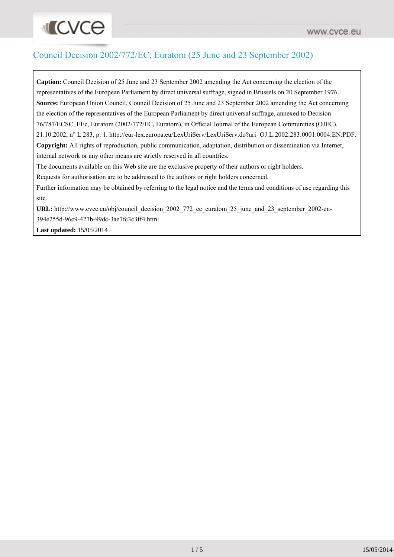# **INCVCO**

# Council Decision 2002/772/EC, Euratom (25 June and 23 September 2002)

**Caption:** Council Decision of 25 June and 23 September 2002 amending the Act concerning the election of the representatives of the European Parliament by direct universal suffrage, signed in Brussels on 20 September 1976. **Source:** European Union Council, Council Decision of 25 June and 23 September 2002 amending the Act concerning the election of the representatives of the European Parliament by direct universal suffrage, annexed to Decision 76/787/ECSC, EEc, Euratom (2002/772/EC, Euratom), in Official Journal of the European Communities (OJEC). 21.10.2002, n° L 283, p. 1. http://eur-lex.europa.eu/LexUriServ/LexUriServ.do?uri=OJ:L:2002:283:0001:0004:EN:PDF. **Copyright:** All rights of reproduction, public communication, adaptation, distribution or dissemination via Internet, internal network or any other means are strictly reserved in all countries. The documents available on this Web site are the exclusive property of their authors or right holders. Requests for authorisation are to be addressed to the authors or right holders concerned.

Further information may be obtained by referring to the legal notice and the terms and conditions of use regarding this site.

URL: [http://www.cvce.eu/obj/council\\_decision\\_2002\\_772\\_ec\\_euratom\\_25\\_june\\_and\\_23\\_september\\_2002-en-](http://www.cvce.eu/obj/council_decision_2002_772_ec_euratom_25_june_and_23_september_2002-en-394e255d-96c9-427b-99dc-3ae7fc3c3ff4.html)

[394e255d-96c9-427b-99dc-3ae7fc3c3ff4.html](http://www.cvce.eu/obj/council_decision_2002_772_ec_euratom_25_june_and_23_september_2002-en-394e255d-96c9-427b-99dc-3ae7fc3c3ff4.html)

**Last updated:** 15/05/2014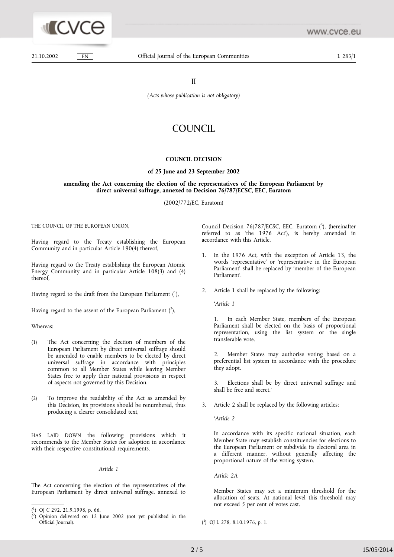

 $EN$ 

www.cvce.eu

21.10.2002

 $\overline{\mathbf{I}}$ 

(Acts whose publication is not obligatory)

## COUNCIL

### **COUNCIL DECISION**

#### of 25 June and 23 September 2002

### amending the Act concerning the election of the representatives of the European Parliament by direct universal suffrage, annexed to Decision 76/787/ECSC, EEC, Euratom

(2002/772/EC, Euratom)

THE COUNCIL OF THE EUROPEAN UNION.

Having regard to the Treaty establishing the European Community and in particular Article 190(4) thereof,

Having regard to the Treaty establishing the European Atomic Energy Community and in particular Article 108(3) and (4) thereof.

Having regard to the draft from the European Parliament  $(1)$ .

Having regard to the assent of the European Parliament  $(2)$ ,

#### Whereas:

- The Act concerning the election of members of the  $(1)$ European Parliament by direct universal suffrage should be amended to enable members to be elected by direct universal suffrage in accordance with principles common to all Member States while leaving Member States free to apply their national provisions in respect of aspects not governed by this Decision.
- $(2)$ To improve the readability of the Act as amended by this Decision, its provisions should be renumbered, thus producing a clearer consolidated text,

HAS LAID DOWN the following provisions which it recommends to the Member States for adoption in accordance with their respective constitutional requirements.

#### Article 1

The Act concerning the election of the representatives of the European Parliament by direct universal suffrage, annexed to

Council Decision 76/787/ECSC, EEC, Euratom  $(^3)$ , (hereinafter referred to as 'the 1976 Act'), is hereby amended in accordance with this Article.

- 1. In the 1976 Act, with the exception of Article 13, the words 'representative' or 'representative in the European Parliament' shall be replaced by 'member of the European Parliament'.
- Article 1 shall be replaced by the following:  $\mathcal{D}$

'Article 1

 $1.$ In each Member State, members of the European Parliament shall be elected on the basis of proportional representation, using the list system or the single transferable vote.

Member States may authorise voting based on a  $\mathfrak{D}$ . preferential list system in accordance with the procedure they adopt.

Elections shall be by direct universal suffrage and  $\mathbf{3}$ shall be free and secret.'

3. Article 2 shall be replaced by the following articles:

'Article 2

In accordance with its specific national situation, each Member State may establish constituencies for elections to the European Parliament or subdivide its electoral area in a different manner, without generally affecting the proportional nature of the voting system.

Article 2A

Member States may set a minimum threshold for the allocation of seats. At national level this threshold may not exceed 5 per cent of votes cast.

 $(1)$  OJ C 292, 21.9.1998, p. 66.

<sup>(2)</sup> Opinion delivered on 12 June 2002 (not yet published in the Official Journal).

<sup>(3)</sup> OJ L 278, 8.10.1976, p. 1.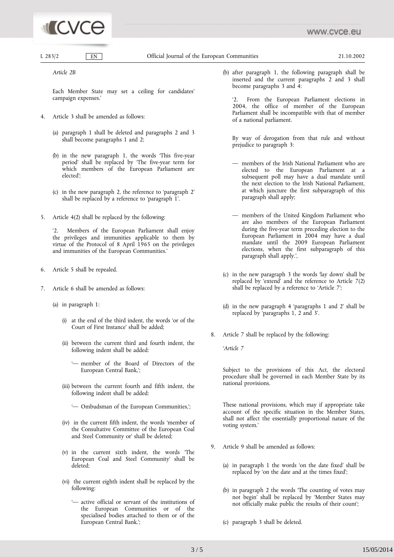# **ICVCE**

 $I. 283/2$  $EN$  Official Journal of the European Communities

21.10.2002

Article 2B

Each Member State may set a ceiling for candidates' campaign expenses.'

- 4. Article 3 shall be amended as follows:
	- (a) paragraph 1 shall be deleted and paragraphs 2 and 3 shall become paragraphs 1 and 2;
	- (b) in the new paragraph 1, the words 'This five-year period' shall be replaced by 'The five-year term for which members of the European Parliament are elected':
	- (c) in the new paragraph 2, the reference to 'paragraph 2' shall be replaced by a reference to 'paragraph 1'.
- 5. Article 4(2) shall be replaced by the following:

Members of the European Parliament shall enjoy  $\mathfrak{g}$ the privileges and immunities applicable to them by virtue of the Protocol of 8 April 1965 on the privileges and immunities of the European Communities.'

- 6. Article 5 shall be repealed.
- 7. Article 6 shall be amended as follows:
	- (a) in paragraph 1:
		- (i) at the end of the third indent, the words 'or of the Court of First Instance' shall be added:
		- (ii) between the current third and fourth indent, the following indent shall be added:
			- '- member of the Board of Directors of the European Central Bank,';
		- (iii) between the current fourth and fifth indent, the following indent shall be added:
			- '- Ombudsman of the European Communities,';
		- (iv) in the current fifth indent, the words 'member of the Consultative Committee of the European Coal and Steel Community or' shall be deleted;
		- (v) in the current sixth indent, the words The European Coal and Steel Community' shall be deleted:
		- (vi) the current eighth indent shall be replaced by the following:
			- '- active official or servant of the institutions of the European Communities or of the specialised bodies attached to them or of the European Central Bank.';

(b) after paragraph 1, the following paragraph shall be inserted and the current paragraphs 2 and 3 shall become paragraphs 3 and 4:

From the European Parliament elections in  $\mathfrak{D}$ 2004, the office of member of the European Parliament shall be incompatible with that of member of a national parliament.

By way of derogation from that rule and without prejudice to paragraph 3:

- members of the Irish National Parliament who are elected to the European Parliament at a subsequent poll may have a dual mandate until the next election to the Irish National Parliament, at which juncture the first subparagraph of this paragraph shall apply;
- members of the United Kingdom Parliament who<br>are also members of the European Parliament during the five-year term preceding election to the European Parliament in 2004 may have a dual mandate until the 2009 European Parliament elections, when the first subparagraph of this paragraph shall apply.',
- (c) in the new paragraph 3 the words 'lay down' shall be replaced by 'extend' and the reference to Article 7(2) shall be replaced by a reference to 'Article 7';
- (d) in the new paragraph 4 'paragraphs 1 and 2' shall be replaced by 'paragraphs 1, 2 and 3'.
- 8. Article 7 shall be replaced by the following:

'Article 7

Subject to the provisions of this Act, the electoral procedure shall be governed in each Member State by its national provisions.

These national provisions, which may if appropriate take account of the specific situation in the Member States, shall not affect the essentially proportional nature of the voting system.'

- 9. Article 9 shall be amended as follows:
	- (a) in paragraph 1 the words 'on the date fixed' shall be replaced by 'on the date and at the times fixed';
	- (b) in paragraph 2 the words The counting of votes may not begin' shall be replaced by 'Member States may not officially make public the results of their count';
	- (c) paragraph 3 shall be deleted.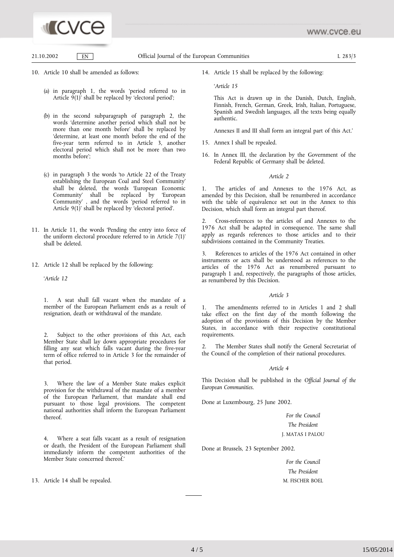

21.10.2002

Official Journal of the European Communities

 $I. 283/3$ 

10. Article 10 shall be amended as follows:

 $EN$ 

- (a) in paragraph 1, the words 'period referred to in Article  $9(1)$  shall be replaced by 'electoral period';
- (b) in the second subparagraph of paragraph 2, the words 'determine another period which shall not be more than one month before' shall be replaced by 'determine, at least one month before the end of the five-year term referred to in Article 3, another electoral period which shall not be more than two months before':
- (c) in paragraph 3 the words 'to Article 22 of the Treaty establishing the European Coal and Steel Community shall be deleted, the words 'European Economic Community' shall be replaced by 'European Community', and the words 'period referred to in Article 9(1)' shall be replaced by 'electoral period'.
- 11. In Article 11, the words 'Pending the entry into force of the uniform electoral procedure referred to in Article 7(1)' shall be deleted.
- 12. Article 12 shall be replaced by the following:

'Article 12

A seat shall fall vacant when the mandate of a  $\mathbf{1}$ . member of the European Parliament ends as a result of resignation, death or withdrawal of the mandate.

 $2<sub>1</sub>$ Subject to the other provisions of this Act, each Member State shall lay down appropriate procedures for filling any seat which falls vacant during the five-year term of office referred to in Article 3 for the remainder of that period.

Where the law of a Member State makes explicit  $3<sub>1</sub>$ provision for the withdrawal of the mandate of a member of the European Parliament, that mandate shall end pursuant to those legal provisions. The competent national authorities shall inform the European Parliament thereof.

Where a seat falls vacant as a result of resignation  $\overline{4}$ . or death, the President of the European Parliament shall immediately inform the competent authorities of the Member State concerned thereof.'

13. Article 14 shall be repealed.

14. Article 15 shall be replaced by the following:

'Article 15

This Act is drawn up in the Danish, Dutch, English, Finnish, French, German, Greek, Irish, Italian, Portuguese, Spanish and Swedish languages, all the texts being equally authentic.

Annexes II and III shall form an integral part of this Act.'

- 15. Annex I shall be repealed.
- 16. In Annex III, the declaration by the Government of the Federal Republic of Germany shall be deleted.

#### Article 2

The articles of and Annexes to the 1976 Act, as amended by this Decision, shall be renumbered in accordance with the table of equivalence set out in the Annex to this Decision, which shall form an integral part thereof.

Cross-references to the articles of and Annexes to the  $\mathfrak{I}$ 1976 Act shall be adapted in consequence. The same shall apply as regards references to those articles and to their subdivisions contained in the Community Treaties.

References to articles of the 1976 Act contained in other  $\mathbf{3}$ instruments or acts shall be understood as references to the articles of the 1976 Act as renumbered pursuant to paragraph 1 and, respectively, the paragraphs of those articles, as renumbered by this Decision.

#### Article 3

The amendments referred to in Articles 1 and 2 shall 1. take effect on the first day of the month following the adoption of the provisions of this Decision by the Member States, in accordance with their respective constitutional requirements.

 $2.$ The Member States shall notify the General Secretariat of the Council of the completion of their national procedures.

#### Article 4

This Decision shall be published in the Official Journal of the European Communities.

Done at Luxembourg, 25 June 2002.

For the Council The President J. MATAS I PALOU

Done at Brussels, 23 September 2002.

For the Council The President M. FISCHER BOEL